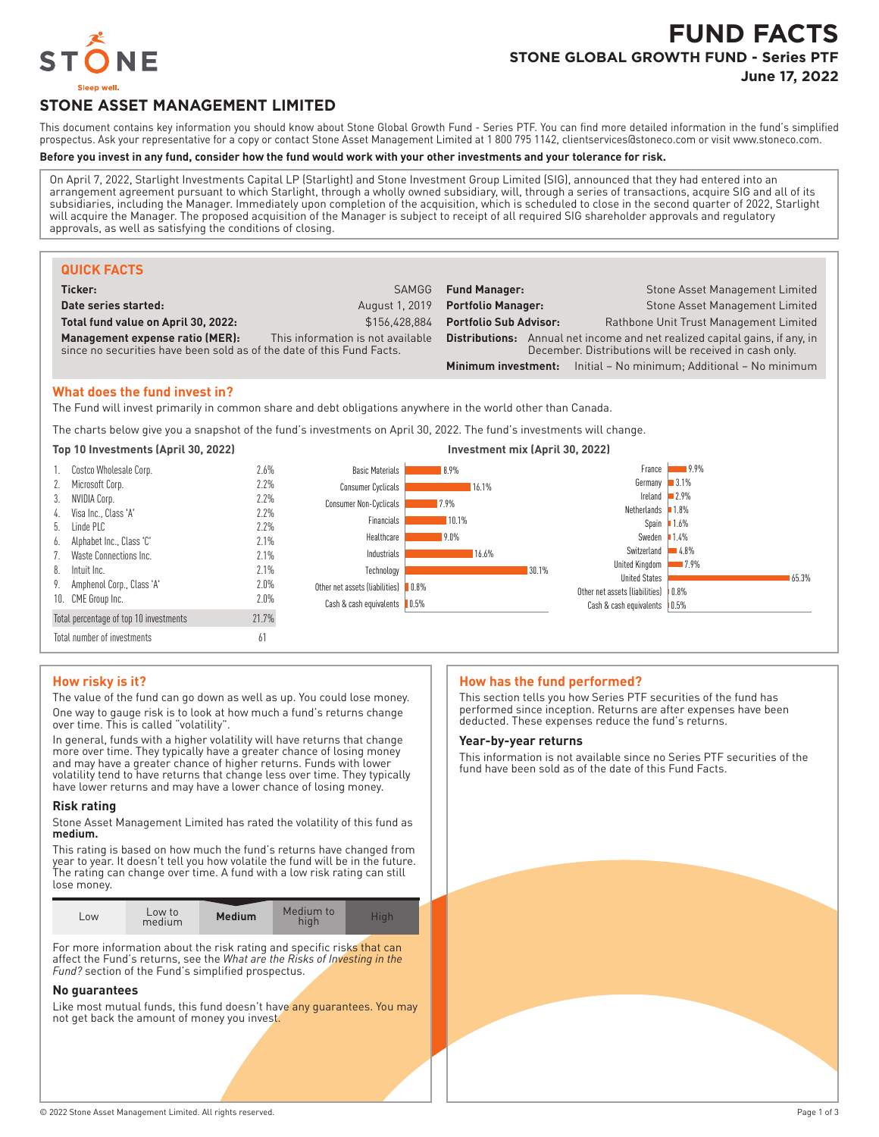

# **FUND FACTS STONE GLOBAL GROWTH FUND - Series PTF**

**June 17, 2022**

# **STONE ASSET MANAGEMENT LIMITED**

This document contains key information you should know about Stone Global Growth Fund - Series PTF. You can find more detailed information in the fund's simplified prospectus. Ask your representative for a copy or contact Stone Asset Management Limited at 1 800 795 1142, clientservices@stoneco.com or visit www.stoneco.com.

# **Before you invest in any fund, consider how the fund would work with your other investments and your tolerance for risk.**

On April 7, 2022, Starlight Investments Capital LP (Starlight) and Stone Investment Group Limited (SIG), announced that they had entered into an arrangement agreement pursuant to which Starlight, through a wholly owned subsidiary, will, through a series of transactions, acquire SIG and all of its subsidiaries, including the Manager. Immediately upon completion of the acquisition, which is scheduled to close in the second quarter of 2022, Starlight will acquire the Manager. The proposed acquisition of the Manager is subject to receipt of all required SIG shareholder approvals and regulatory approvals, as well as satisfying the conditions of closing.

| <b>QUICK FACTS</b>                                                                                       |                                   |                                                                                                                                              |  |                                                                          |  |
|----------------------------------------------------------------------------------------------------------|-----------------------------------|----------------------------------------------------------------------------------------------------------------------------------------------|--|--------------------------------------------------------------------------|--|
| Ticker:                                                                                                  | SAMGG                             | <b>Fund Manager:</b>                                                                                                                         |  | Stone Asset Management Limited                                           |  |
| Date series started:                                                                                     | August 1, 2019                    | <b>Portfolio Manager:</b>                                                                                                                    |  | Stone Asset Management Limited                                           |  |
| Total fund value on April 30, 2022:                                                                      | \$156.428.884                     | <b>Portfolio Sub Advisor:</b>                                                                                                                |  | Rathbone Unit Trust Management Limited                                   |  |
| Management expense ratio (MER):<br>since no securities have been sold as of the date of this Fund Facts. | This information is not available | <b>Distributions:</b> Annual net income and net realized capital gains, if any, in<br>December. Distributions will be received in cash only. |  |                                                                          |  |
|                                                                                                          |                                   |                                                                                                                                              |  | <b>Minimum investment:</b> Initial – No minimum; Additional – No minimum |  |

### **What does the fund invest in?**

The Fund will invest primarily in common share and debt obligations anywhere in the world other than Canada.

The charts below give you a snapshot of the fund's investments on April 30, 2022. The fund's investments will change.



| 1. Costco Wholesale Corp.              | 2.6%  | <b>Basic Materials</b>              | 8.9%        |       | France                                | $19.9\%$ |       |
|----------------------------------------|-------|-------------------------------------|-------------|-------|---------------------------------------|----------|-------|
| 2. Microsoft Corp.                     | 2.2%  | <b>Consumer Cyclicals</b>           | 16.1%       |       | Germany $3.1\%$                       |          |       |
| 3. NVIDIA Corp.                        | 2.2%  | Consumer Non-Cyclicals              | 7.9%        |       | Ireland $2.9\%$                       |          |       |
| 4. Visa Inc., Class 'A'                | 2.2%  |                                     |             |       | Netherlands $1.8\%$                   |          |       |
| 5. Linde PLC                           | 2.2%  | Financials                          | 10.1%       |       | Spain $1.6%$                          |          |       |
| 6. Alphabet Inc., Class 'C'            | 2.1%  | Healthcare                          | <b>9.0%</b> |       | Sweden $1.4\%$                        |          |       |
| 7. Waste Connections Inc.              | 2.1%  | Industrials                         | 16.6%       |       | Switzerland                           | $4.8\%$  |       |
| 8. Intuit Inc.                         | 2.1%  | Technology                          |             | 30.1% | United Kingdom                        | $17.9\%$ |       |
| 9. Amphenol Corp., Class 'A'           | 2.0%  | Other net assets (liabilities) 0.8% |             |       | <b>United States</b>                  |          | 65.3% |
| 10. CME Group Inc.                     | 2.0%  |                                     |             |       | Other net assets (liabilities)   0.8% |          |       |
|                                        |       | Cash & cash equivalents   0.5%      |             |       | Cash & cash equivalents   0.5%        |          |       |
| Total percentage of top 10 investments | 21.7% |                                     |             |       |                                       |          |       |
| Total number of investments            | 61    |                                     |             |       |                                       |          |       |

### **How risky is it?**

The value of the fund can go down as well as up. You could lose money. One way to gauge risk is to look at how much a fund's returns change over time. This is called "volatility".

In general, funds with a higher volatility will have returns that change more over time. They typically have a greater chance of losing money and may have a greater chance of higher returns. Funds with lower volatility tend to have returns that change less over time. They typically have lower returns and may have a lower chance of losing money.

### **Risk rating**

Stone Asset Management Limited has rated the volatility of this fund as **medium.**

This rating is based on how much the fund's returns have changed from year to year. It doesn't tell you how volatile the fund will be in the future. The rating can change over time. A fund with a low risk rating can still lose money.

| Low | Low to<br>medium | <b>Medium</b> | Medium to<br>hiah | Hiah |
|-----|------------------|---------------|-------------------|------|
|     |                  |               |                   |      |

For more information about the risk rating and specific risks that can affect the Fund's returns, see the *What are the Risks of Investing in the Fund?* section of the Fund's simplified prospectus.

### **No guarantees**

Like most mutual funds, this fund doesn't have any guarantees. You may not get back the amount of money you invest.

### **How has the fund performed?**

This section tells you how Series PTF securities of the fund has performed since inception. Returns are after expenses have been deducted. These expenses reduce the fund's returns.

#### **Year-by-year returns**

This information is not available since no Series PTF securities of the fund have been sold as of the date of this Fund Facts.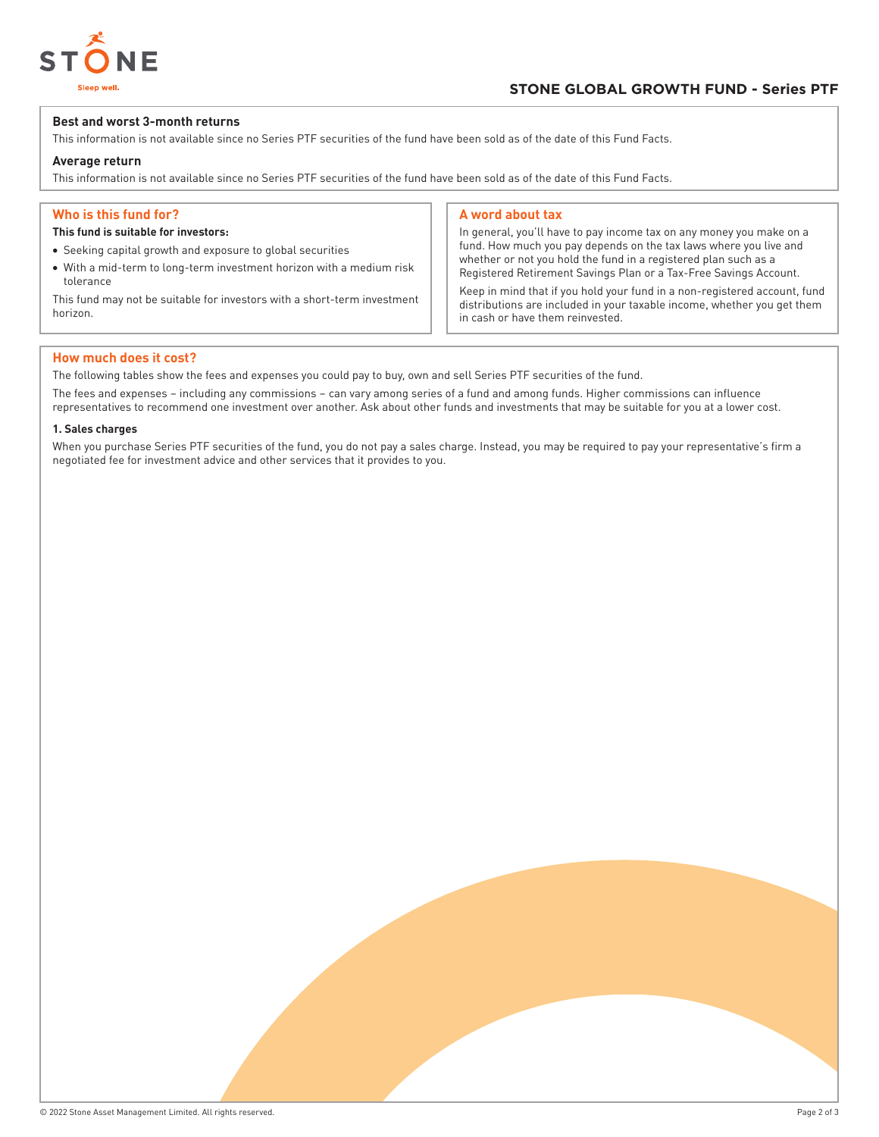

# **Best and worst 3-month returns**

This information is not available since no Series PTF securities of the fund have been sold as of the date of this Fund Facts.

# **Average return**

This information is not available since no Series PTF securities of the fund have been sold as of the date of this Fund Facts.

# **Who is this fund for?**

# **This fund is suitable for investors:**

- Seeking capital growth and exposure to global securities
- With a mid-term to long-term investment horizon with a medium risk tolerance

This fund may not be suitable for investors with a short-term investment horizon.

#### **A word about tax**

In general, you'll have to pay income tax on any money you make on a fund. How much you pay depends on the tax laws where you live and whether or not you hold the fund in a registered plan such as a Registered Retirement Savings Plan or a Tax-Free Savings Account.

Keep in mind that if you hold your fund in a non-registered account, fund distributions are included in your taxable income, whether you get them in cash or have them reinvested.

### **How much does it cost?**

The following tables show the fees and expenses you could pay to buy, own and sell Series PTF securities of the fund.

The fees and expenses – including any commissions – can vary among series of a fund and among funds. Higher commissions can influence representatives to recommend one investment over another. Ask about other funds and investments that may be suitable for you at a lower cost.

### **1. Sales charges**

When you purchase Series PTF securities of the fund, you do not pay a sales charge. Instead, you may be required to pay your representative's firm a negotiated fee for investment advice and other services that it provides to you.